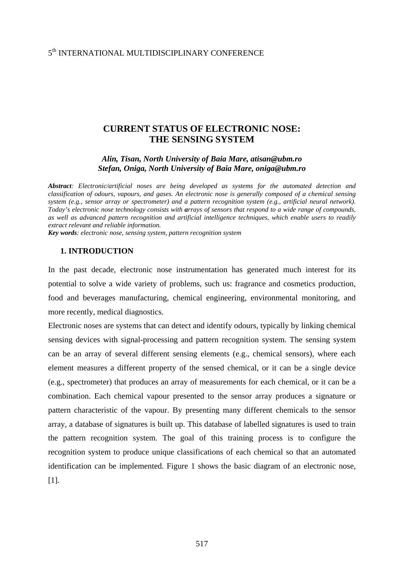# 5th INTERNATIONAL MULTIDISCIPLINARY CONFERENCE

# **CURRENT STATUS OF ELECTRONIC NOSE: THE SENSING SYSTEM**

### *Alin, Tisan, North University of Baia Mare, atisan@ubm.ro Stefan, Oniga, North University of Baia Mare, oniga@ubm.ro*

*Abstract: Electronic/artificial noses are being developed as systems for the automated detection and classification of odours, vapours, and gases. An electronic nose is generally composed of a chemical sensing system (e.g., sensor array or spectrometer) and a pattern recognition system (e.g., artificial neural network). Today's electronic nose technology consists with arrays of sensors that respond to a wide range of compounds, as well as advanced pattern recognition and artificial intelligence techniques, which enable users to readily extract relevant and reliable information.* 

*Key words: electronic nose, sensing system, pattern recognition system*

#### **1. INTRODUCTION**

In the past decade, electronic nose instrumentation has generated much interest for its potential to solve a wide variety of problems, such us: fragrance and cosmetics production, food and beverages manufacturing, chemical engineering, environmental monitoring, and more recently, medical diagnostics.

Electronic noses are systems that can detect and identify odours, typically by linking chemical sensing devices with signal-processing and pattern recognition system. The sensing system can be an array of several different sensing elements (e.g., chemical sensors), where each element measures a different property of the sensed chemical, or it can be a single device (e.g., spectrometer) that produces an array of measurements for each chemical, or it can be a combination. Each chemical vapour presented to the sensor array produces a signature or pattern characteristic of the vapour. By presenting many different chemicals to the sensor array, a database of signatures is built up. This database of labelled signatures is used to train the pattern recognition system. The goal of this training process is to configure the recognition system to produce unique classifications of each chemical so that an automated identification can be implemented. Figure 1 shows the basic diagram of an electronic nose, [1].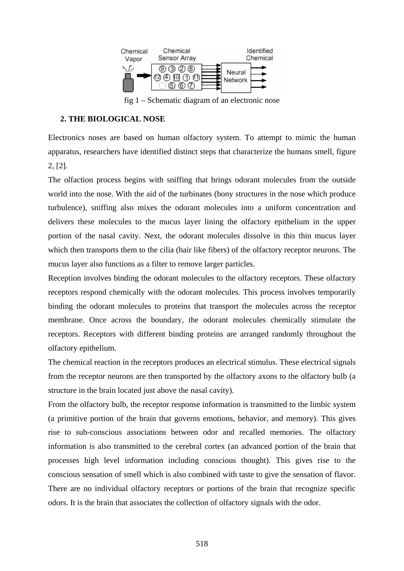

fig 1 – Schematic diagram of an electronic nose

# **2. THE BIOLOGICAL NOSE**

Electronics noses are based on human olfactory system. To attempt to mimic the human apparatus, researchers have identified distinct steps that characterize the humans smell, figure 2, [2].

The olfaction process begins with sniffing that brings odorant molecules from the outside world into the nose. With the aid of the turbinates (bony structures in the nose which produce turbulence), sniffing also mixes the odorant molecules into a uniform concentration and delivers these molecules to the mucus layer lining the olfactory epithelium in the upper portion of the nasal cavity. Next, the odorant molecules dissolve in this thin mucus layer which then transports them to the cilia (hair like fibers) of the olfactory receptor neurons. The mucus layer also functions as a filter to remove larger particles.

Reception involves binding the odorant molecules to the olfactory receptors. These olfactory receptors respond chemically with the odorant molecules. This process involves temporarily binding the odorant molecules to proteins that transport the molecules across the receptor membrane. Once across the boundary, the odorant molecules chemically stimulate the receptors. Receptors with different binding proteins are arranged randomly throughout the olfactory epithelium.

The chemical reaction in the receptors produces an electrical stimulus. These electrical signals from the receptor neurons are then transported by the olfactory axons to the olfactory bulb (a structure in the brain located just above the nasal cavity).

From the olfactory bulb, the receptor response information is transmitted to the limbic system (a primitive portion of the brain that governs emotions, behavior, and memory). This gives rise to sub-conscious associations between odor and recalled memories. The olfactory information is also transmitted to the cerebral cortex (an advanced portion of the brain that processes high level information including conscious thought). This gives rise to the conscious sensation of smell which is also combined with taste to give the sensation of flavor. There are no individual olfactory receptors or portions of the brain that recognize specific odors. It is the brain that associates the collection of olfactory signals with the odor.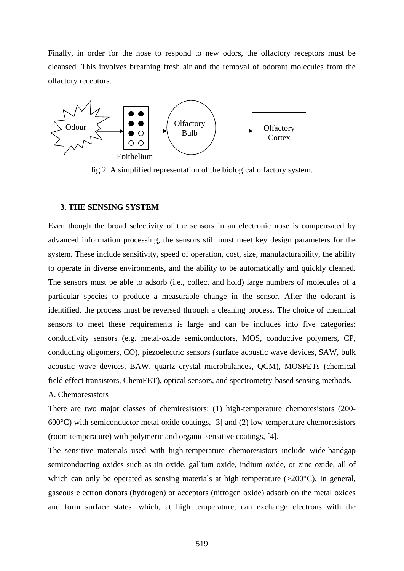Finally, in order for the nose to respond to new odors, the olfactory receptors must be cleansed. This involves breathing fresh air and the removal of odorant molecules from the olfactory receptors.



fig 2. A simplified representation of the biological olfactory system.

#### **3. THE SENSING SYSTEM**

Even though the broad selectivity of the sensors in an electronic nose is compensated by advanced information processing, the sensors still must meet key design parameters for the system. These include sensitivity, speed of operation, cost, size, manufacturability, the ability to operate in diverse environments, and the ability to be automatically and quickly cleaned. The sensors must be able to adsorb (i.e., collect and hold) large numbers of molecules of a particular species to produce a measurable change in the sensor. After the odorant is identified, the process must be reversed through a cleaning process. The choice of chemical sensors to meet these requirements is large and can be includes into five categories: conductivity sensors (e.g. metal-oxide semiconductors, MOS, conductive polymers, CP, conducting oligomers, CO), piezoelectric sensors (surface acoustic wave devices, SAW, bulk acoustic wave devices, BAW, quartz crystal microbalances, QCM), MOSFETs (chemical field effect transistors, ChemFET), optical sensors, and spectrometry-based sensing methods. A. Chemoresistors

There are two major classes of chemiresistors: (1) high-temperature chemoresistors (200- 600°C) with semiconductor metal oxide coatings, [3] and (2) low-temperature chemoresistors (room temperature) with polymeric and organic sensitive coatings, [4].

The sensitive materials used with high-temperature chemoresistors include wide-bandgap semiconducting oxides such as tin oxide, gallium oxide, indium oxide, or zinc oxide, all of which can only be operated as sensing materials at high temperature  $(>200^{\circ}C)$ . In general, gaseous electron donors (hydrogen) or acceptors (nitrogen oxide) adsorb on the metal oxides and form surface states, which, at high temperature, can exchange electrons with the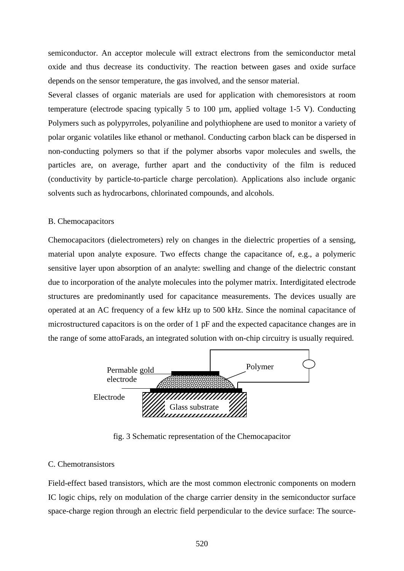semiconductor. An acceptor molecule will extract electrons from the semiconductor metal oxide and thus decrease its conductivity. The reaction between gases and oxide surface depends on the sensor temperature, the gas involved, and the sensor material.

Several classes of organic materials are used for application with chemoresistors at room temperature (electrode spacing typically 5 to 100 µm, applied voltage 1-5 V). Conducting Polymers such as polypyrroles, polyaniline and polythiophene are used to monitor a variety of polar organic volatiles like ethanol or methanol. Conducting carbon black can be dispersed in non-conducting polymers so that if the polymer absorbs vapor molecules and swells, the particles are, on average, further apart and the conductivity of the film is reduced (conductivity by particle-to-particle charge percolation). Applications also include organic solvents such as hydrocarbons, chlorinated compounds, and alcohols.

#### B. Chemocapacitors

Chemocapacitors (dielectrometers) rely on changes in the dielectric properties of a sensing, material upon analyte exposure. Two effects change the capacitance of, e.g., a polymeric sensitive layer upon absorption of an analyte: swelling and change of the dielectric constant due to incorporation of the analyte molecules into the polymer matrix. Interdigitated electrode structures are predominantly used for capacitance measurements. The devices usually are operated at an AC frequency of a few kHz up to 500 kHz. Since the nominal capacitance of microstructured capacitors is on the order of 1 pF and the expected capacitance changes are in the range of some attoFarads, an integrated solution with on-chip circuitry is usually required.



fig. 3 Schematic representation of the Chemocapacitor

#### C. Chemotransistors

Field-effect based transistors, which are the most common electronic components on modern IC logic chips, rely on modulation of the charge carrier density in the semiconductor surface space-charge region through an electric field perpendicular to the device surface: The source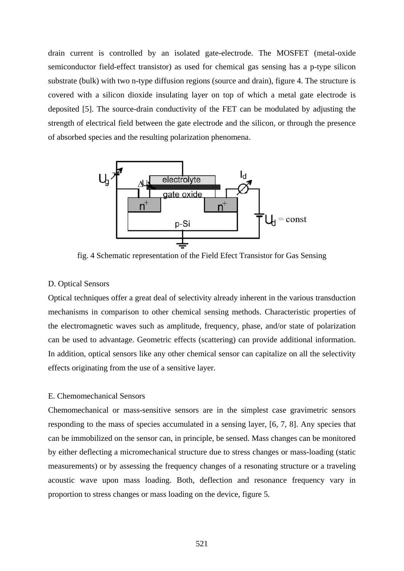drain current is controlled by an isolated gate-electrode. The MOSFET (metal-oxide semiconductor field-effect transistor) as used for chemical gas sensing has a p-type silicon substrate (bulk) with two n-type diffusion regions (source and drain), figure 4. The structure is covered with a silicon dioxide insulating layer on top of which a metal gate electrode is deposited [5]. The source-drain conductivity of the FET can be modulated by adjusting the strength of electrical field between the gate electrode and the silicon, or through the presence of absorbed species and the resulting polarization phenomena.



fig. 4 Schematic representation of the Field Efect Transistor for Gas Sensing

#### D. Optical Sensors

Optical techniques offer a great deal of selectivity already inherent in the various transduction mechanisms in comparison to other chemical sensing methods. Characteristic properties of the electromagnetic waves such as amplitude, frequency, phase, and/or state of polarization can be used to advantage. Geometric effects (scattering) can provide additional information. In addition, optical sensors like any other chemical sensor can capitalize on all the selectivity effects originating from the use of a sensitive layer.

### E. Chemomechanical Sensors

Chemomechanical or mass-sensitive sensors are in the simplest case gravimetric sensors responding to the mass of species accumulated in a sensing layer, [6, 7, 8]. Any species that can be immobilized on the sensor can, in principle, be sensed. Mass changes can be monitored by either deflecting a micromechanical structure due to stress changes or mass-loading (static measurements) or by assessing the frequency changes of a resonating structure or a traveling acoustic wave upon mass loading. Both, deflection and resonance frequency vary in proportion to stress changes or mass loading on the device, figure 5.